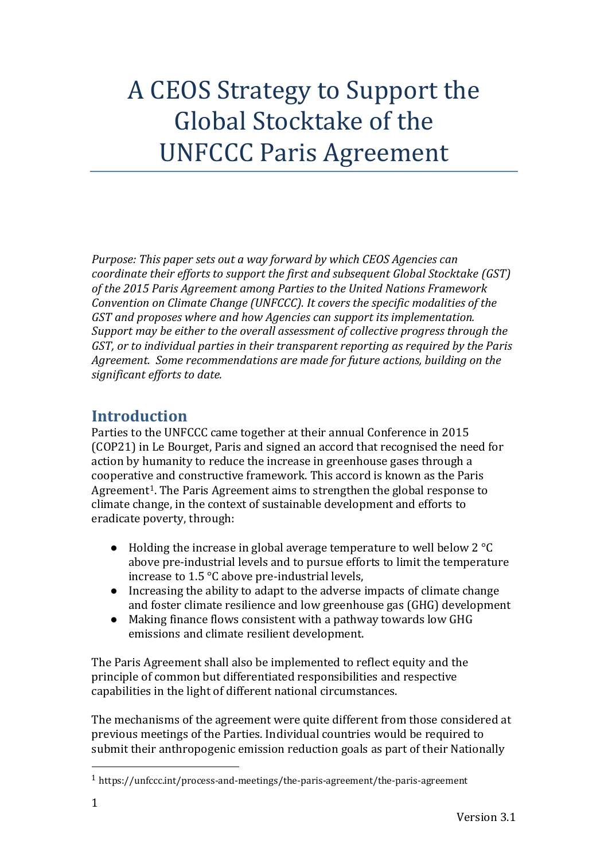# A CEOS Strategy to Support the Global Stocktake of the UNFCCC Paris Agreement

*Purpose: This paper sets out a way forward by which CEOS Agencies can coordinate their efforts to support the first and subsequent Global Stocktake (GST) of the 2015 Paris Agreement among Parties to the United Nations Framework Convention on Climate Change (UNFCCC). It covers the specific modalities of the GST and proposes where and how Agencies can support its implementation. Support may be either to the overall assessment of collective progress through the GST, or to individual parties in their transparent reporting as required by the Paris Agreement. Some recommendations are made for future actions, building on the significant efforts to date.* 

## **Introduction**

Parties to the UNFCCC came together at their annual Conference in 2015 (COP21) in Le Bourget, Paris and signed an accord that recognised the need for action by humanity to reduce the increase in greenhouse gases through a cooperative and constructive framework. This accord is known as the Paris Agreement1. The Paris Agreement aims to strengthen the global response to climate change, in the context of sustainable development and efforts to eradicate poverty, through:

- Holding the increase in global average temperature to well below 2 °C above pre-industrial levels and to pursue efforts to limit the temperature increase to 1.5 °C above pre-industrial levels,
- Increasing the ability to adapt to the adverse impacts of climate change and foster climate resilience and low greenhouse gas (GHG) development
- Making finance flows consistent with a pathway towards low GHG emissions and climate resilient development.

The Paris Agreement shall also be implemented to reflect equity and the principle of common but differentiated responsibilities and respective capabilities in the light of different national circumstances.

The mechanisms of the agreement were quite different from those considered at previous meetings of the Parties. Individual countries would be required to submit their anthropogenic emission reduction goals as part of their Nationally

<sup>1</sup> https://unfccc.int/process-and-meetings/the-paris-agreement/the-paris-agreement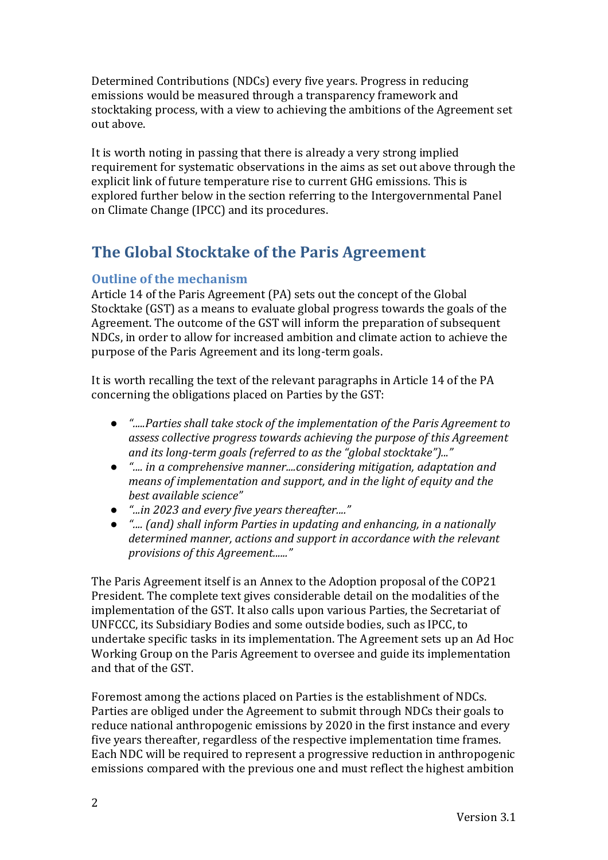Determined Contributions (NDCs) every five years. Progress in reducing emissions would be measured through a transparency framework and stocktaking process, with a view to achieving the ambitions of the Agreement set out above.

It is worth noting in passing that there is already a very strong implied requirement for systematic observations in the aims as set out above through the explicit link of future temperature rise to current GHG emissions. This is explored further below in the section referring to the Intergovernmental Panel on Climate Change (IPCC) and its procedures.

# **The Global Stocktake of the Paris Agreement**

### **Outline of the mechanism**

Article 14 of the Paris Agreement (PA) sets out the concept of the Global Stocktake (GST) as a means to evaluate global progress towards the goals of the Agreement. The outcome of the GST will inform the preparation of subsequent NDCs, in order to allow for increased ambition and climate action to achieve the purpose of the Paris Agreement and its long-term goals.

It is worth recalling the text of the relevant paragraphs in Article 14 of the PA concerning the obligations placed on Parties by the GST:

- *".....Parties shall take stock of the implementation of the Paris Agreement to assess collective progress towards achieving the purpose of this Agreement and its long-term goals (referred to as the "global stocktake")..."*
- *".... in a comprehensive manner....considering mitigation, adaptation and means of implementation and support, and in the light of equity and the best available science"*
- *"...in 2023 and every five years thereafter...."*
- *".... (and) shall inform Parties in updating and enhancing, in a nationally determined manner, actions and support in accordance with the relevant provisions of this Agreement......"*

The Paris Agreement itself is an Annex to the Adoption proposal of the COP21 President. The complete text gives considerable detail on the modalities of the implementation of the GST. It also calls upon various Parties, the Secretariat of UNFCCC, its Subsidiary Bodies and some outside bodies, such as IPCC, to undertake specific tasks in its implementation. The Agreement sets up an Ad Hoc Working Group on the Paris Agreement to oversee and guide its implementation and that of the GST.

Foremost among the actions placed on Parties is the establishment of NDCs. Parties are obliged under the Agreement to submit through NDCs their goals to reduce national anthropogenic emissions by 2020 in the first instance and every five years thereafter, regardless of the respective implementation time frames. Each NDC will be required to represent a progressive reduction in anthropogenic emissions compared with the previous one and must reflect the highest ambition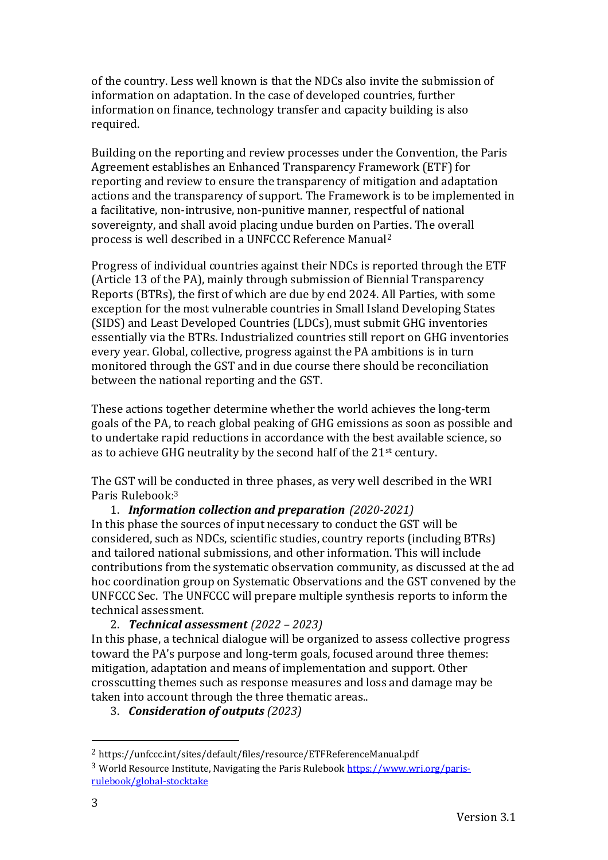of the country. Less well known is that the NDCs also invite the submission of information on adaptation. In the case of developed countries, further information on finance, technology transfer and capacity building is also required.

Building on the reporting and review processes under the Convention, the Paris Agreement establishes an Enhanced Transparency Framework (ETF) for reporting and review to ensure the transparency of mitigation and adaptation actions and the transparency of support. The Framework is to be implemented in a facilitative, non-intrusive, non-punitive manner, respectful of national sovereignty, and shall avoid placing undue burden on Parties. The overall process is well described in a UNFCCC Reference Manual<sup>2</sup>

Progress of individual countries against their NDCs is reported through the ETF (Article 13 of the PA), mainly through submission of Biennial Transparency Reports (BTRs), the first of which are due by end 2024. All Parties, with some exception for the most vulnerable countries in Small Island Developing States (SIDS) and Least Developed Countries (LDCs), must submit GHG inventories essentially via the BTRs. Industrialized countries still report on GHG inventories every year. Global, collective, progress against the PA ambitions is in turn monitored through the GST and in due course there should be reconciliation between the national reporting and the GST.

These actions together determine whether the world achieves the long-term goals of the PA, to reach global peaking of GHG emissions as soon as possible and to undertake rapid reductions in accordance with the best available science, so as to achieve GHG neutrality by the second half of the 21st century.

The GST will be conducted in three phases, as very well described in the WRI Paris Rulebook:<sup>3</sup>

1. *Information collection and preparation (2020-2021)* In this phase the sources of input necessary to conduct the GST will be considered, such as NDCs, scientific studies, country reports (including BTRs) and tailored national submissions, and other information. This will include contributions from the systematic observation community, as discussed at the ad hoc coordination group on Systematic Observations and the GST convened by the UNFCCC Sec. The UNFCCC will prepare multiple synthesis reports to inform the technical assessment.

2. *Technical assessment (2022 – 2023)*

In this phase, a technical dialogue will be organized to assess collective progress toward the PA's purpose and long-term goals, focused around three themes: mitigation, adaptation and means of implementation and support. Other crosscutting themes such as response measures and loss and damage may be taken into account through the three thematic areas..

3. *Consideration of outputs (2023)*

<sup>2</sup> https://unfccc.int/sites/default/files/resource/ETFReferenceManual.pdf

<sup>3</sup> World Resource Institute, Navigating the Paris Ruleboo[k https://www.wri.org/paris](https://www.wri.org/paris-rulebook/global-stocktake)[rulebook/global-stocktake](https://www.wri.org/paris-rulebook/global-stocktake)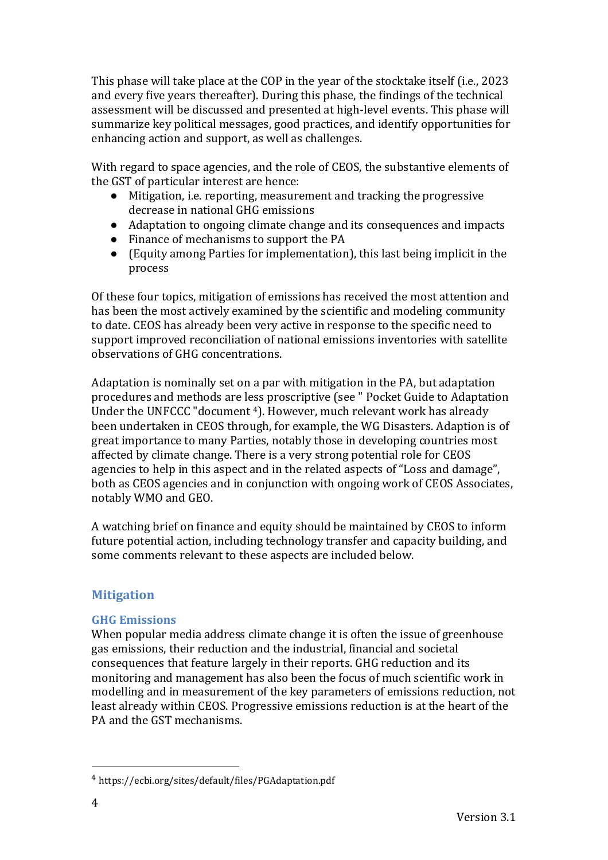This phase will take place at the COP in the year of the stocktake itself (i.e., 2023 and every five years thereafter). During this phase, the findings of the technical assessment will be discussed and presented at high-level events. This phase will summarize key political messages, good practices, and identify opportunities for enhancing action and support, as well as challenges.

With regard to space agencies, and the role of CEOS, the substantive elements of the GST of particular interest are hence:

- Mitigation, i.e. reporting, measurement and tracking the progressive decrease in national GHG emissions
- Adaptation to ongoing climate change and its consequences and impacts
- Finance of mechanisms to support the PA
- (Equity among Parties for implementation), this last being implicit in the process

Of these four topics, mitigation of emissions has received the most attention and has been the most actively examined by the scientific and modeling community to date. CEOS has already been very active in response to the specific need to support improved reconciliation of national emissions inventories with satellite observations of GHG concentrations.

Adaptation is nominally set on a par with mitigation in the PA, but adaptation procedures and methods are less proscriptive (see " Pocket Guide to Adaptation Under the UNFCCC "document 4). However, much relevant work has already been undertaken in CEOS through, for example, the WG Disasters. Adaption is of great importance to many Parties, notably those in developing countries most affected by climate change. There is a very strong potential role for CEOS agencies to help in this aspect and in the related aspects of "Loss and damage", both as CEOS agencies and in conjunction with ongoing work of CEOS Associates, notably WMO and GEO.

A watching brief on finance and equity should be maintained by CEOS to inform future potential action, including technology transfer and capacity building, and some comments relevant to these aspects are included below.

#### **Mitigation**

#### **GHG Emissions**

When popular media address climate change it is often the issue of greenhouse gas emissions, their reduction and the industrial, financial and societal consequences that feature largely in their reports. GHG reduction and its monitoring and management has also been the focus of much scientific work in modelling and in measurement of the key parameters of emissions reduction, not least already within CEOS. Progressive emissions reduction is at the heart of the PA and the GST mechanisms.

<sup>4</sup> https://ecbi.org/sites/default/files/PGAdaptation.pdf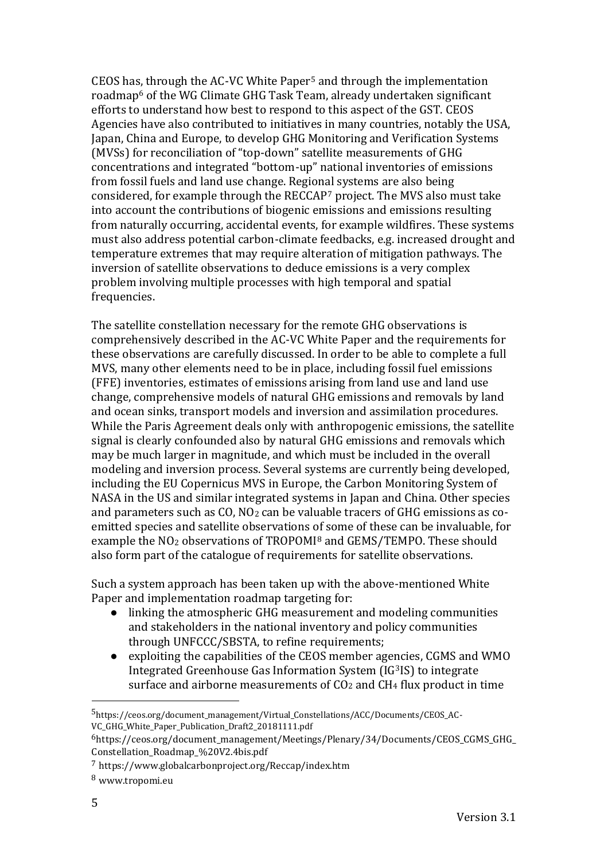CEOS has, through the AC-VC White Paper<sup>5</sup> and through the implementation roadmap<sup>6</sup> of the WG Climate GHG Task Team, already undertaken significant efforts to understand how best to respond to this aspect of the GST. CEOS Agencies have also contributed to initiatives in many countries, notably the USA, Japan, China and Europe, to develop GHG Monitoring and Verification Systems (MVSs) for reconciliation of "top-down" satellite measurements of GHG concentrations and integrated "bottom-up" national inventories of emissions from fossil fuels and land use change. Regional systems are also being considered, for example through the RECCAP<sup>7</sup> project. The MVS also must take into account the contributions of biogenic emissions and emissions resulting from naturally occurring, accidental events, for example wildfires. These systems must also address potential carbon-climate feedbacks, e.g. increased drought and temperature extremes that may require alteration of mitigation pathways. The inversion of satellite observations to deduce emissions is a very complex problem involving multiple processes with high temporal and spatial frequencies.

The satellite constellation necessary for the remote GHG observations is comprehensively described in the AC-VC White Paper and the requirements for these observations are carefully discussed. In order to be able to complete a full MVS, many other elements need to be in place, including fossil fuel emissions (FFE) inventories, estimates of emissions arising from land use and land use change, comprehensive models of natural GHG emissions and removals by land and ocean sinks, transport models and inversion and assimilation procedures. While the Paris Agreement deals only with anthropogenic emissions, the satellite signal is clearly confounded also by natural GHG emissions and removals which may be much larger in magnitude, and which must be included in the overall modeling and inversion process. Several systems are currently being developed, including the EU Copernicus MVS in Europe, the Carbon Monitoring System of NASA in the US and similar integrated systems in Japan and China. Other species and parameters such as CO, NO<sup>2</sup> can be valuable tracers of GHG emissions as coemitted species and satellite observations of some of these can be invaluable, for example the NO<sup>2</sup> observations of TROPOMI<sup>8</sup> and GEMS/TEMPO. These should also form part of the catalogue of requirements for satellite observations.

Such a system approach has been taken up with the above-mentioned White Paper and implementation roadmap targeting for:

- linking the atmospheric GHG measurement and modeling communities and stakeholders in the national inventory and policy communities through UNFCCC/SBSTA, to refine requirements;
- exploiting the capabilities of the CEOS member agencies, CGMS and WMO Integrated Greenhouse Gas Information System (IG3IS) to integrate surface and airborne measurements of  $CO<sub>2</sub>$  and  $CH<sub>4</sub>$  flux product in time

<sup>5</sup>https://ceos.org/document\_management/Virtual\_Constellations/ACC/Documents/CEOS\_AC-VC\_GHG\_White\_Paper\_Publication\_Draft2\_20181111.pdf

 $6$ https://ceos.org/document\_management/Meetings/Plenary/34/Documents/CEOS\_CGMS\_GHG Constellation\_Roadmap\_%20V2.4bis.pdf

<sup>7</sup> https://www.globalcarbonproject.org/Reccap/index.htm

<sup>8</sup> www.tropomi.eu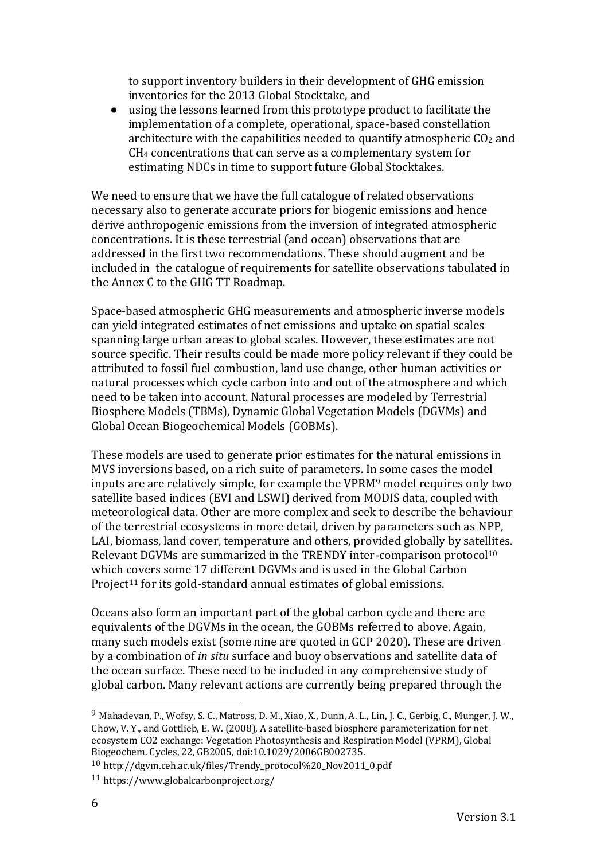to support inventory builders in their development of GHG emission inventories for the 2013 Global Stocktake, and

● using the lessons learned from this prototype product to facilitate the implementation of a complete, operational, space-based constellation architecture with the capabilities needed to quantify atmospheric  $CO<sub>2</sub>$  and CH<sup>4</sup> concentrations that can serve as a complementary system for estimating NDCs in time to support future Global Stocktakes.

We need to ensure that we have the full catalogue of related observations necessary also to generate accurate priors for biogenic emissions and hence derive anthropogenic emissions from the inversion of integrated atmospheric concentrations. It is these terrestrial (and ocean) observations that are addressed in the first two recommendations. These should augment and be included in the catalogue of requirements for satellite observations tabulated in the Annex C to the GHG TT Roadmap.

Space-based atmospheric GHG measurements and atmospheric inverse models can yield integrated estimates of net emissions and uptake on spatial scales spanning large urban areas to global scales. However, these estimates are not source specific. Their results could be made more policy relevant if they could be attributed to fossil fuel combustion, land use change, other human activities or natural processes which cycle carbon into and out of the atmosphere and which need to be taken into account. Natural processes are modeled by Terrestrial Biosphere Models (TBMs), Dynamic Global Vegetation Models (DGVMs) and Global Ocean Biogeochemical Models (GOBMs).

These models are used to generate prior estimates for the natural emissions in MVS inversions based, on a rich suite of parameters. In some cases the model inputs are are relatively simple, for example the VPRM<sup>9</sup> model requires only two satellite based indices (EVI and LSWI) derived from MODIS data, coupled with meteorological data. Other are more complex and seek to describe the behaviour of the terrestrial ecosystems in more detail, driven by parameters such as NPP, LAI, biomass, land cover, temperature and others, provided globally by satellites. Relevant DGVMs are summarized in the TRENDY inter-comparison protocol<sup>10</sup> which covers some 17 different DGVMs and is used in the Global Carbon Project<sup>11</sup> for its gold-standard annual estimates of global emissions.

Oceans also form an important part of the global carbon cycle and there are equivalents of the DGVMs in the ocean, the GOBMs referred to above. Again, many such models exist (some nine are quoted in GCP 2020). These are driven by a combination of *in situ* surface and buoy observations and satellite data of the ocean surface. These need to be included in any comprehensive study of global carbon. Many relevant actions are currently being prepared through the

<sup>9</sup> Mahadevan, P., Wofsy, S. C., Matross, D. M., Xiao, X., Dunn, A. L., Lin, J. C., Gerbig, C., Munger, J. W., Chow, V. Y., and Gottlieb, E. W. (2008), A satellite‐based biosphere parameterization for net ecosystem CO2 exchange: Vegetation Photosynthesis and Respiration Model (VPRM), Global Biogeochem. Cycles, 22, GB2005, doi:10.1029/2006GB002735.

<sup>10</sup> http://dgvm.ceh.ac.uk/files/Trendy\_protocol%20\_Nov2011\_0.pdf

<sup>11</sup> https://www.globalcarbonproject.org/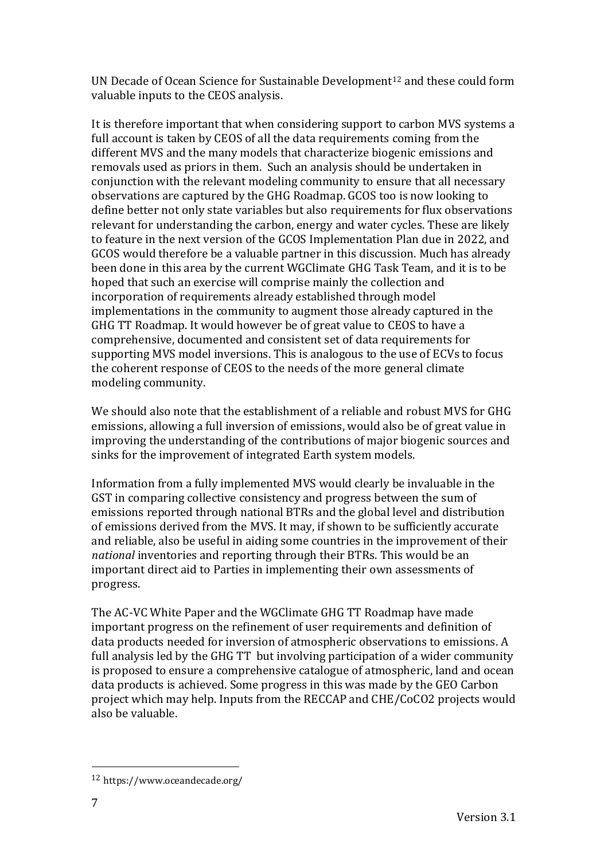UN Decade of Ocean Science for Sustainable Development<sup>12</sup> and these could form valuable inputs to the CEOS analysis.

It is therefore important that when considering support to carbon MVS systems a full account is taken by CEOS of all the data requirements coming from the different MVS and the many models that characterize biogenic emissions and removals used as priors in them. Such an analysis should be undertaken in conjunction with the relevant modeling community to ensure that all necessary observations are captured by the GHG Roadmap. GCOS too is now looking to define better not only state variables but also requirements for flux observations relevant for understanding the carbon, energy and water cycles. These are likely to feature in the next version of the GCOS Implementation Plan due in 2022, and GCOS would therefore be a valuable partner in this discussion. Much has already been done in this area by the current WGClimate GHG Task Team, and it is to be hoped that such an exercise will comprise mainly the collection and incorporation of requirements already established through model implementations in the community to augment those already captured in the GHG TT Roadmap. It would however be of great value to CEOS to have a comprehensive, documented and consistent set of data requirements for supporting MVS model inversions. This is analogous to the use of ECVs to focus the coherent response of CEOS to the needs of the more general climate modeling community.

We should also note that the establishment of a reliable and robust MVS for GHG emissions, allowing a full inversion of emissions, would also be of great value in improving the understanding of the contributions of major biogenic sources and sinks for the improvement of integrated Earth system models.

Information from a fully implemented MVS would clearly be invaluable in the GST in comparing collective consistency and progress between the sum of emissions reported through national BTRs and the global level and distribution of emissions derived from the MVS. It may, if shown to be sufficiently accurate and reliable, also be useful in aiding some countries in the improvement of their *national* inventories and reporting through their BTRs. This would be an important direct aid to Parties in implementing their own assessments of progress.

The AC-VC White Paper and the WGClimate GHG TT Roadmap have made important progress on the refinement of user requirements and definition of data products needed for inversion of atmospheric observations to emissions. A full analysis led by the GHG TT but involving participation of a wider community is proposed to ensure a comprehensive catalogue of atmospheric, land and ocean data products is achieved. Some progress in this was made by the GEO Carbon project which may help. Inputs from the RECCAP and CHE/CoCO2 projects would also be valuable.

<sup>12</sup> https://www.oceandecade.org/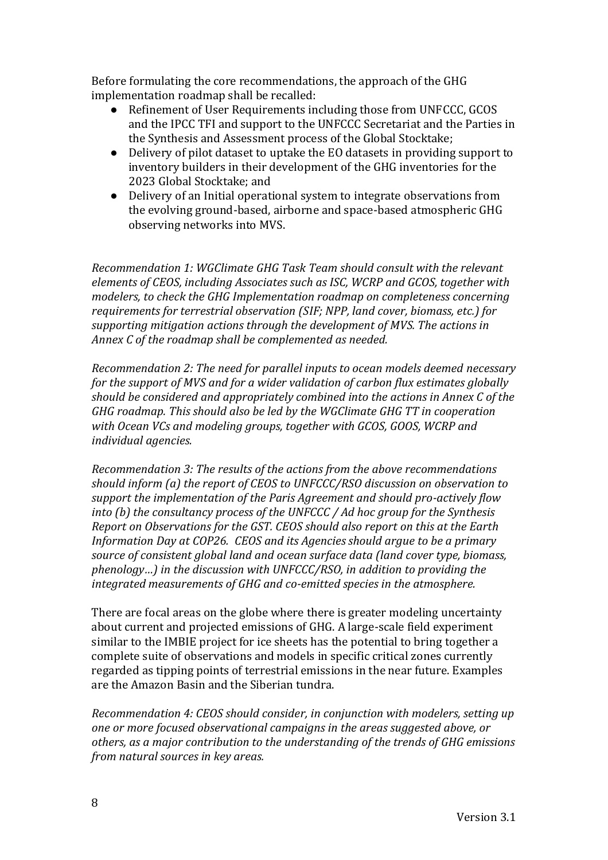Before formulating the core recommendations, the approach of the GHG implementation roadmap shall be recalled:

- Refinement of User Requirements including those from UNFCCC, GCOS and the IPCC TFI and support to the UNFCCC Secretariat and the Parties in the Synthesis and Assessment process of the Global Stocktake;
- Delivery of pilot dataset to uptake the EO datasets in providing support to inventory builders in their development of the GHG inventories for the 2023 Global Stocktake; and
- Delivery of an Initial operational system to integrate observations from the evolving ground-based, airborne and space-based atmospheric GHG observing networks into MVS.

*Recommendation 1: WGClimate GHG Task Team should consult with the relevant elements of CEOS, including Associates such as ISC, WCRP and GCOS, together with modelers, to check the GHG Implementation roadmap on completeness concerning requirements for terrestrial observation (SIF; NPP, land cover, biomass, etc.) for supporting mitigation actions through the development of MVS. The actions in Annex C of the roadmap shall be complemented as needed.*

*Recommendation 2: The need for parallel inputs to ocean models deemed necessary for the support of MVS and for a wider validation of carbon flux estimates globally should be considered and appropriately combined into the actions in Annex C of the GHG roadmap. This should also be led by the WGClimate GHG TT in cooperation with Ocean VCs and modeling groups, together with GCOS, GOOS, WCRP and individual agencies.*

*Recommendation 3: The results of the actions from the above recommendations should inform (a) the report of CEOS to UNFCCC/RSO discussion on observation to support the implementation of the Paris Agreement and should pro-actively flow into (b) the consultancy process of the UNFCCC / Ad hoc group for the Synthesis Report on Observations for the GST. CEOS should also report on this at the Earth Information Day at COP26. CEOS and its Agencies should argue to be a primary source of consistent global land and ocean surface data (land cover type, biomass, phenology…) in the discussion with UNFCCC/RSO, in addition to providing the integrated measurements of GHG and co-emitted species in the atmosphere.*

There are focal areas on the globe where there is greater modeling uncertainty about current and projected emissions of GHG. A large-scale field experiment similar to the IMBIE project for ice sheets has the potential to bring together a complete suite of observations and models in specific critical zones currently regarded as tipping points of terrestrial emissions in the near future. Examples are the Amazon Basin and the Siberian tundra.

*Recommendation 4: CEOS should consider, in conjunction with modelers, setting up one or more focused observational campaigns in the areas suggested above, or others, as a major contribution to the understanding of the trends of GHG emissions from natural sources in key areas.*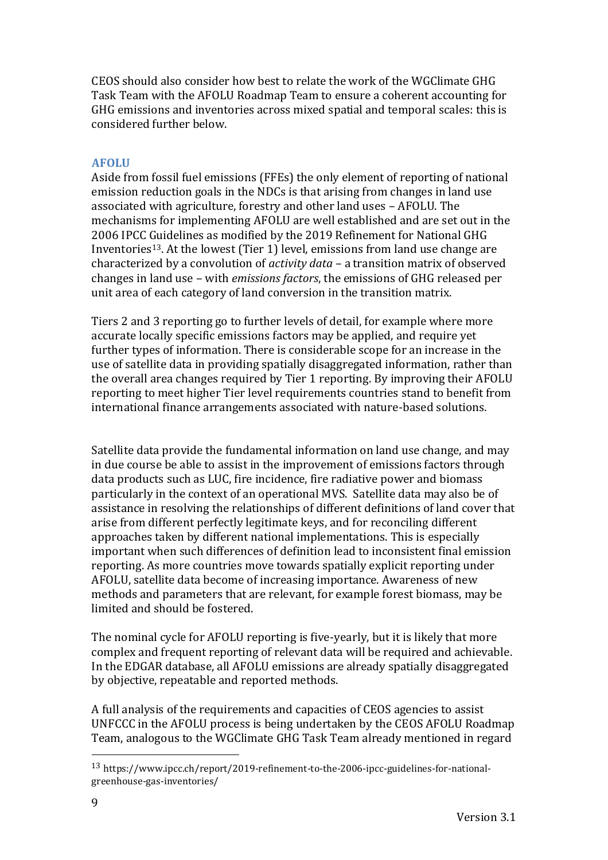CEOS should also consider how best to relate the work of the WGClimate GHG Task Team with the AFOLU Roadmap Team to ensure a coherent accounting for GHG emissions and inventories across mixed spatial and temporal scales: this is considered further below.

#### **AFOLU**

Aside from fossil fuel emissions (FFEs) the only element of reporting of national emission reduction goals in the NDCs is that arising from changes in land use associated with agriculture, forestry and other land uses – AFOLU. The mechanisms for implementing AFOLU are well established and are set out in the 2006 IPCC Guidelines as modified by the 2019 Refinement for National GHG Inventories13. At the lowest (Tier 1) level, emissions from land use change are characterized by a convolution of *activity data* – a transition matrix of observed changes in land use – with *emissions factors*, the emissions of GHG released per unit area of each category of land conversion in the transition matrix.

Tiers 2 and 3 reporting go to further levels of detail, for example where more accurate locally specific emissions factors may be applied, and require yet further types of information. There is considerable scope for an increase in the use of satellite data in providing spatially disaggregated information, rather than the overall area changes required by Tier 1 reporting. By improving their AFOLU reporting to meet higher Tier level requirements countries stand to benefit from international finance arrangements associated with nature-based solutions.

Satellite data provide the fundamental information on land use change, and may in due course be able to assist in the improvement of emissions factors through data products such as LUC, fire incidence, fire radiative power and biomass particularly in the context of an operational MVS. Satellite data may also be of assistance in resolving the relationships of different definitions of land cover that arise from different perfectly legitimate keys, and for reconciling different approaches taken by different national implementations. This is especially important when such differences of definition lead to inconsistent final emission reporting. As more countries move towards spatially explicit reporting under AFOLU, satellite data become of increasing importance. Awareness of new methods and parameters that are relevant, for example forest biomass, may be limited and should be fostered.

The nominal cycle for AFOLU reporting is five-yearly, but it is likely that more complex and frequent reporting of relevant data will be required and achievable. In the EDGAR database, all AFOLU emissions are already spatially disaggregated by objective, repeatable and reported methods.

A full analysis of the requirements and capacities of CEOS agencies to assist UNFCCC in the AFOLU process is being undertaken by the CEOS AFOLU Roadmap Team, analogous to the WGClimate GHG Task Team already mentioned in regard

<sup>13</sup> https://www.ipcc.ch/report/2019-refinement-to-the-2006-ipcc-guidelines-for-nationalgreenhouse-gas-inventories/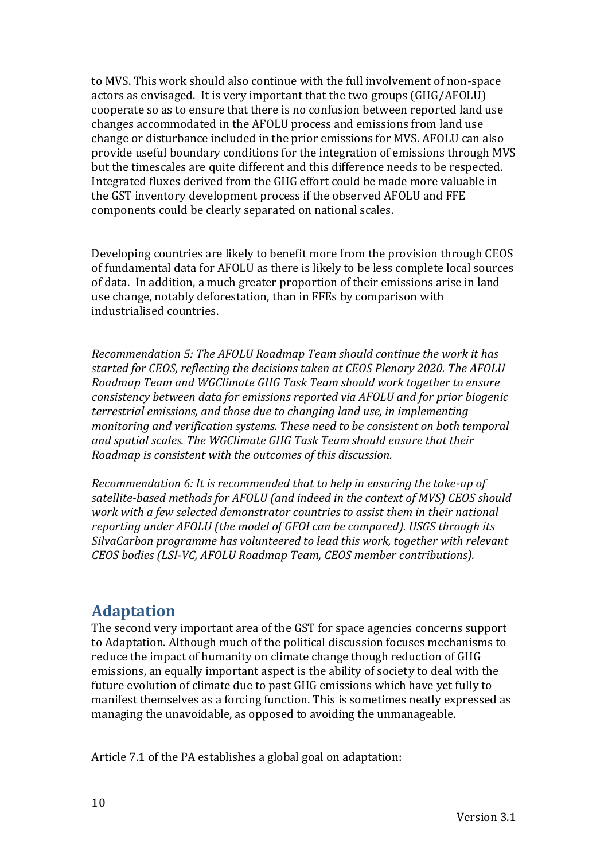to MVS. This work should also continue with the full involvement of non-space actors as envisaged. It is very important that the two groups (GHG/AFOLU) cooperate so as to ensure that there is no confusion between reported land use changes accommodated in the AFOLU process and emissions from land use change or disturbance included in the prior emissions for MVS. AFOLU can also provide useful boundary conditions for the integration of emissions through MVS but the timescales are quite different and this difference needs to be respected. Integrated fluxes derived from the GHG effort could be made more valuable in the GST inventory development process if the observed AFOLU and FFE components could be clearly separated on national scales.

Developing countries are likely to benefit more from the provision through CEOS of fundamental data for AFOLU as there is likely to be less complete local sources of data. In addition, a much greater proportion of their emissions arise in land use change, notably deforestation, than in FFEs by comparison with industrialised countries.

*Recommendation 5: The AFOLU Roadmap Team should continue the work it has started for CEOS, reflecting the decisions taken at CEOS Plenary 2020. The AFOLU Roadmap Team and WGClimate GHG Task Team should work together to ensure consistency between data for emissions reported via AFOLU and for prior biogenic terrestrial emissions, and those due to changing land use, in implementing monitoring and verification systems. These need to be consistent on both temporal and spatial scales. The WGClimate GHG Task Team should ensure that their Roadmap is consistent with the outcomes of this discussion.*

*Recommendation 6: It is recommended that to help in ensuring the take-up of satellite-based methods for AFOLU (and indeed in the context of MVS) CEOS should work with a few selected demonstrator countries to assist them in their national reporting under AFOLU (the model of GFOI can be compared). USGS through its SilvaCarbon programme has volunteered to lead this work, together with relevant CEOS bodies (LSI-VC, AFOLU Roadmap Team, CEOS member contributions).* 

## **Adaptation**

The second very important area of the GST for space agencies concerns support to Adaptation. Although much of the political discussion focuses mechanisms to reduce the impact of humanity on climate change though reduction of GHG emissions, an equally important aspect is the ability of society to deal with the future evolution of climate due to past GHG emissions which have yet fully to manifest themselves as a forcing function. This is sometimes neatly expressed as managing the unavoidable, as opposed to avoiding the unmanageable.

Article 7.1 of the PA establishes a global goal on adaptation: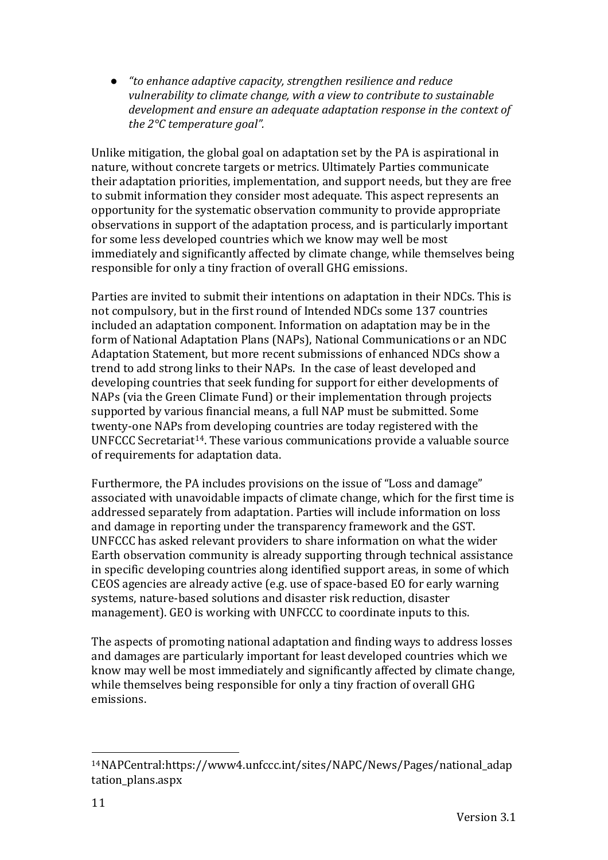● *"to enhance adaptive capacity, strengthen resilience and reduce vulnerability to climate change, with a view to contribute to sustainable development and ensure an adequate adaptation response in the context of the 2°C temperature goal".*

Unlike mitigation, the global goal on adaptation set by the PA is aspirational in nature, without concrete targets or metrics. Ultimately Parties communicate their adaptation priorities, implementation, and support needs, but they are free to submit information they consider most adequate. This aspect represents an opportunity for the systematic observation community to provide appropriate observations in support of the adaptation process, and is particularly important for some less developed countries which we know may well be most immediately and significantly affected by climate change, while themselves being responsible for only a tiny fraction of overall GHG emissions.

Parties are invited to submit their intentions on adaptation in their NDCs. This is not compulsory, but in the first round of Intended NDCs some 137 countries included an adaptation component. Information on adaptation may be in the form of National Adaptation Plans (NAPs), National Communications or an NDC Adaptation Statement, but more recent submissions of enhanced NDCs show a trend to add strong links to their NAPs. In the case of least developed and developing countries that seek funding for support for either developments of NAPs (via the Green Climate Fund) or their implementation through projects supported by various financial means, a full NAP must be submitted. Some twenty-one NAPs from developing countries are today registered with the UNFCCC Secretariat14. These various communications provide a valuable source of requirements for adaptation data.

Furthermore, the PA includes provisions on the issue of "Loss and damage" associated with unavoidable impacts of climate change, which for the first time is addressed separately from adaptation. Parties will include information on loss and damage in reporting under the transparency framework and the GST. UNFCCC has asked relevant providers to share information on what the wider Earth observation community is already supporting through technical assistance in specific developing countries along identified support areas, in some of which CEOS agencies are already active (e.g. use of space-based EO for early warning systems, nature-based solutions and disaster risk reduction, disaster management). GEO is working with UNFCCC to coordinate inputs to this.

The aspects of promoting national adaptation and finding ways to address losses and damages are particularly important for least developed countries which we know may well be most immediately and significantly affected by climate change, while themselves being responsible for only a tiny fraction of overall GHG emissions.

<sup>14</sup>NAPCentral:https://www4.unfccc.int/sites/NAPC/News/Pages/national\_adap tation plans.aspx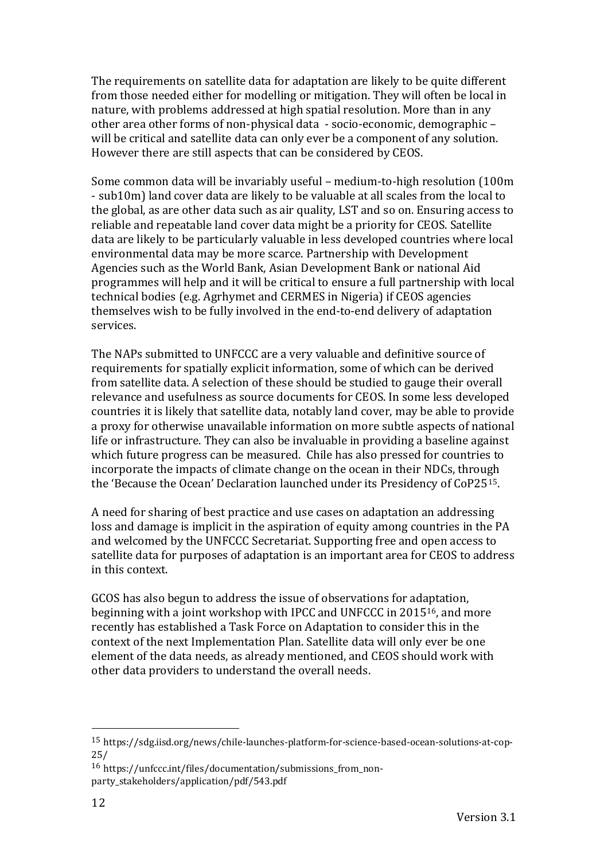The requirements on satellite data for adaptation are likely to be quite different from those needed either for modelling or mitigation. They will often be local in nature, with problems addressed at high spatial resolution. More than in any other area other forms of non-physical data - socio-economic, demographic – will be critical and satellite data can only ever be a component of any solution. However there are still aspects that can be considered by CEOS.

Some common data will be invariably useful – medium-to-high resolution (100m - sub10m) land cover data are likely to be valuable at all scales from the local to the global, as are other data such as air quality, LST and so on. Ensuring access to reliable and repeatable land cover data might be a priority for CEOS. Satellite data are likely to be particularly valuable in less developed countries where local environmental data may be more scarce. Partnership with Development Agencies such as the World Bank, Asian Development Bank or national Aid programmes will help and it will be critical to ensure a full partnership with local technical bodies (e.g. Agrhymet and CERMES in Nigeria) if CEOS agencies themselves wish to be fully involved in the end-to-end delivery of adaptation services.

The NAPs submitted to UNFCCC are a very valuable and definitive source of requirements for spatially explicit information, some of which can be derived from satellite data. A selection of these should be studied to gauge their overall relevance and usefulness as source documents for CEOS. In some less developed countries it is likely that satellite data, notably land cover, may be able to provide a proxy for otherwise unavailable information on more subtle aspects of national life or infrastructure. They can also be invaluable in providing a baseline against which future progress can be measured. Chile has also pressed for countries to incorporate the impacts of climate change on the ocean in their NDCs, through the 'Because the Ocean' Declaration launched under its Presidency of CoP2515.

A need for sharing of best practice and use cases on adaptation an addressing loss and damage is implicit in the aspiration of equity among countries in the PA and welcomed by the UNFCCC Secretariat. Supporting free and open access to satellite data for purposes of adaptation is an important area for CEOS to address in this context.

GCOS has also begun to address the issue of observations for adaptation, beginning with a joint workshop with IPCC and UNFCCC in 201516, and more recently has established a Task Force on Adaptation to consider this in the context of the next Implementation Plan. Satellite data will only ever be one element of the data needs, as already mentioned, and CEOS should work with other data providers to understand the overall needs.

<sup>15</sup> https://sdg.iisd.org/news/chile-launches-platform-for-science-based-ocean-solutions-at-cop-25/

<sup>16</sup> https://unfccc.int/files/documentation/submissions\_from\_nonparty\_stakeholders/application/pdf/543.pdf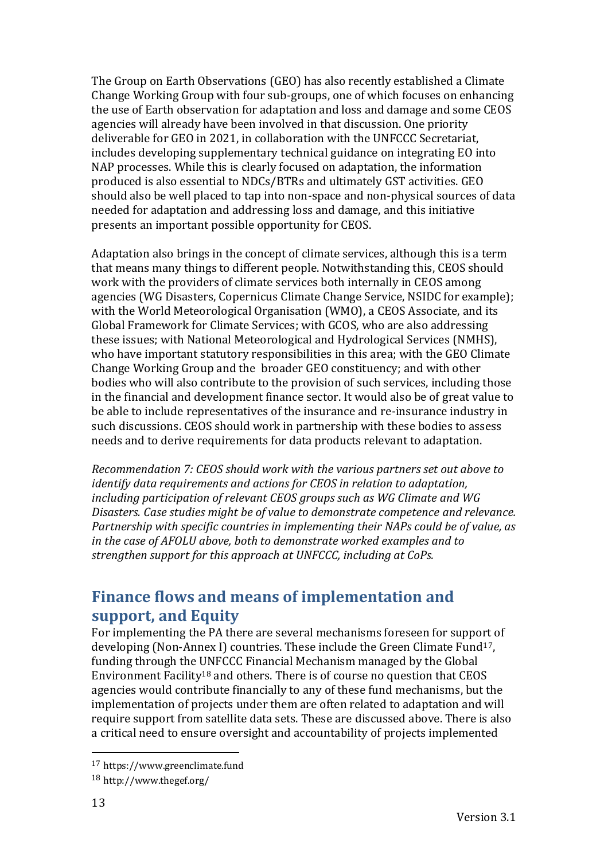The Group on Earth Observations (GEO) has also recently established a Climate Change Working Group with four sub-groups, one of which focuses on enhancing the use of Earth observation for adaptation and loss and damage and some CEOS agencies will already have been involved in that discussion. One priority deliverable for GEO in 2021, in collaboration with the UNFCCC Secretariat, includes developing supplementary technical guidance on integrating EO into NAP processes. While this is clearly focused on adaptation, the information produced is also essential to NDCs/BTRs and ultimately GST activities. GEO should also be well placed to tap into non-space and non-physical sources of data needed for adaptation and addressing loss and damage, and this initiative presents an important possible opportunity for CEOS.

Adaptation also brings in the concept of climate services, although this is a term that means many things to different people. Notwithstanding this, CEOS should work with the providers of climate services both internally in CEOS among agencies (WG Disasters, Copernicus Climate Change Service, NSIDC for example); with the World Meteorological Organisation (WMO), a CEOS Associate, and its Global Framework for Climate Services; with GCOS, who are also addressing these issues; with National Meteorological and Hydrological Services (NMHS), who have important statutory responsibilities in this area; with the GEO Climate Change Working Group and the broader GEO constituency; and with other bodies who will also contribute to the provision of such services, including those in the financial and development finance sector. It would also be of great value to be able to include representatives of the insurance and re-insurance industry in such discussions. CEOS should work in partnership with these bodies to assess needs and to derive requirements for data products relevant to adaptation.

*Recommendation 7: CEOS should work with the various partners set out above to identify data requirements and actions for CEOS in relation to adaptation, including participation of relevant CEOS groups such as WG Climate and WG Disasters. Case studies might be of value to demonstrate competence and relevance. Partnership with specific countries in implementing their NAPs could be of value, as in the case of AFOLU above, both to demonstrate worked examples and to strengthen support for this approach at UNFCCC, including at CoPs.*

# **Finance flows and means of implementation and support, and Equity**

For implementing the PA there are several mechanisms foreseen for support of developing (Non-Annex I) countries. These include the Green Climate Fund<sup>17</sup>, funding through the UNFCCC Financial Mechanism managed by the Global Environment Facility<sup>18</sup> and others. There is of course no question that CEOS agencies would contribute financially to any of these fund mechanisms, but the implementation of projects under them are often related to adaptation and will require support from satellite data sets. These are discussed above. There is also a critical need to ensure oversight and accountability of projects implemented

<sup>17</sup> https://www.greenclimate.fund

<sup>18</sup> http://www.thegef.org/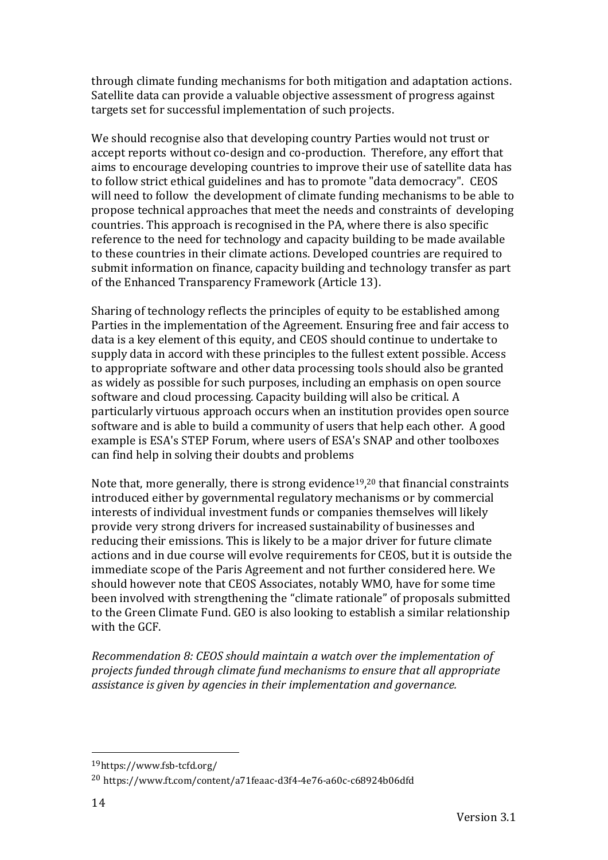through climate funding mechanisms for both mitigation and adaptation actions. Satellite data can provide a valuable objective assessment of progress against targets set for successful implementation of such projects.

We should recognise also that developing country Parties would not trust or accept reports without co-design and co-production. Therefore, any effort that aims to encourage developing countries to improve their use of satellite data has to follow strict ethical guidelines and has to promote "data democracy". CEOS will need to follow the development of climate funding mechanisms to be able to propose technical approaches that meet the needs and constraints of developing countries. This approach is recognised in the PA, where there is also specific reference to the need for technology and capacity building to be made available to these countries in their climate actions. Developed countries are required to submit information on finance, capacity building and technology transfer as part of the Enhanced Transparency Framework (Article 13).

Sharing of technology reflects the principles of equity to be established among Parties in the implementation of the Agreement. Ensuring free and fair access to data is a key element of this equity, and CEOS should continue to undertake to supply data in accord with these principles to the fullest extent possible. Access to appropriate software and other data processing tools should also be granted as widely as possible for such purposes, including an emphasis on open source software and cloud processing. Capacity building will also be critical. A particularly virtuous approach occurs when an institution provides open source software and is able to build a community of users that help each other. A good example is ESA's STEP Forum, where users of ESA's SNAP and other toolboxes can find help in solving their doubts and problems

Note that, more generally, there is strong evidence $19,20$  that financial constraints introduced either by governmental regulatory mechanisms or by commercial interests of individual investment funds or companies themselves will likely provide very strong drivers for increased sustainability of businesses and reducing their emissions. This is likely to be a major driver for future climate actions and in due course will evolve requirements for CEOS, but it is outside the immediate scope of the Paris Agreement and not further considered here. We should however note that CEOS Associates, notably WMO, have for some time been involved with strengthening the "climate rationale" of proposals submitted to the Green Climate Fund. GEO is also looking to establish a similar relationship with the GCF.

*Recommendation 8: CEOS should maintain a watch over the implementation of projects funded through climate fund mechanisms to ensure that all appropriate assistance is given by agencies in their implementation and governance.*

<sup>19</sup>https://www.fsb-tcfd.org/

<sup>20</sup> https://www.ft.com/content/a71feaac-d3f4-4e76-a60c-c68924b06dfd